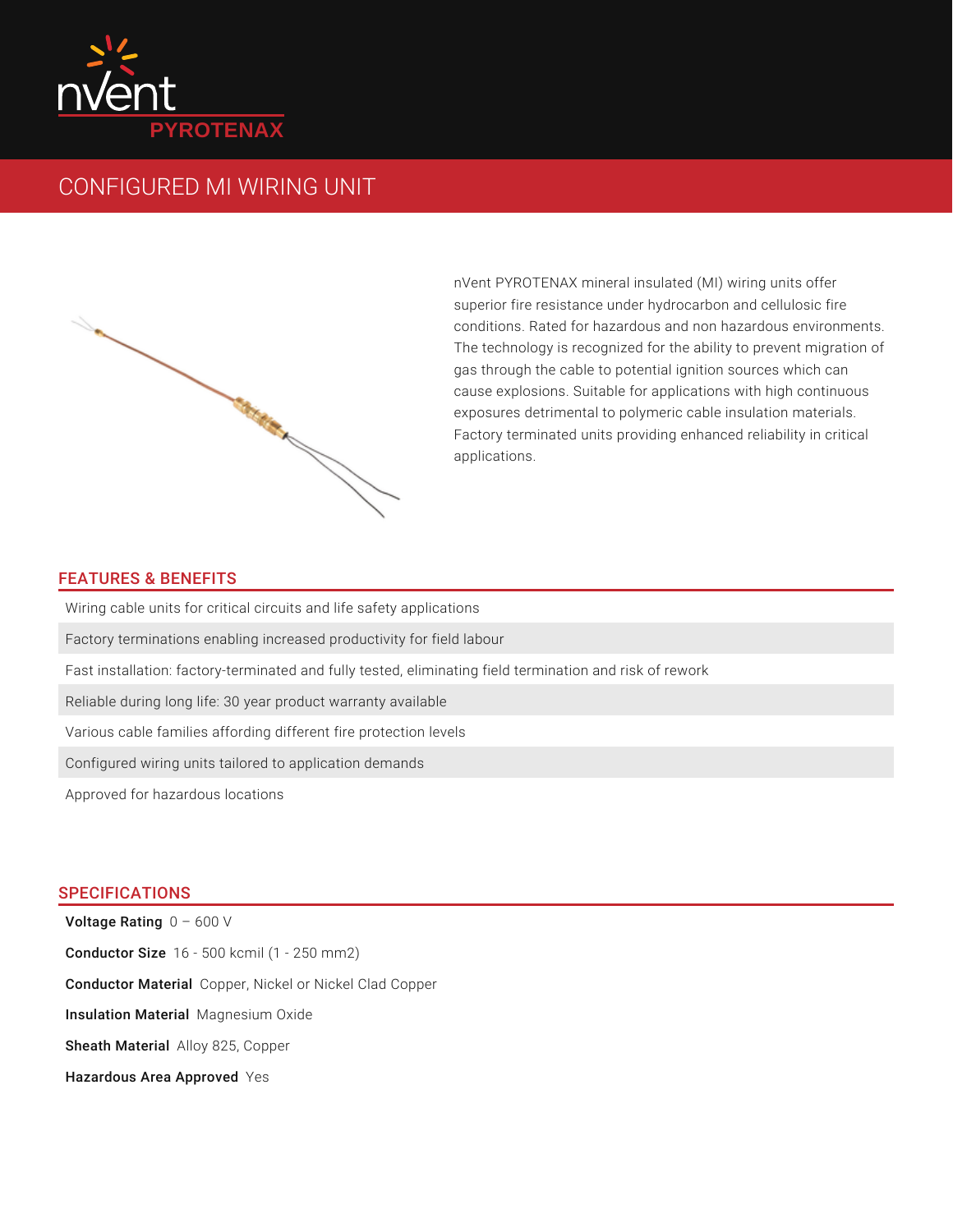

## CONFIGURED MI WIRING UNIT



nVent PYROTENAX mineral insulated (MI) wiring units offer superior fire resistance under hydrocarbon and cellulosic fire conditions. Rated for hazardous and non hazardous environments. The technology is recognized for the ability to prevent migration of gas through the cable to potential ignition sources which can cause explosions. Suitable for applications with high continuous exposures detrimental to polymeric cable insulation materials. Factory terminated units providing enhanced reliability in critical applications.

## FEATURES & BENEFITS

Wiring cable units for critical circuits and life safety applications

Factory terminations enabling increased productivity for field labour

Fast installation: factory-terminated and fully tested, eliminating field termination and risk of rework

Reliable during long life: 30 year product warranty available

Various cable families affording different fire protection levels

Configured wiring units tailored to application demands

Approved for hazardous locations

## SPECIFICATIONS

**Voltage Rating**  $0$  – 600 V **Conductor Size** 16 - 500 kcmil (1 - 250 mm2) **Conductor Material** Copper, Nickel or Nickel Clad Copper Insulation Material Magnesium Oxide Sheath Material Alloy 825, Copper Hazardous Area Approved Yes